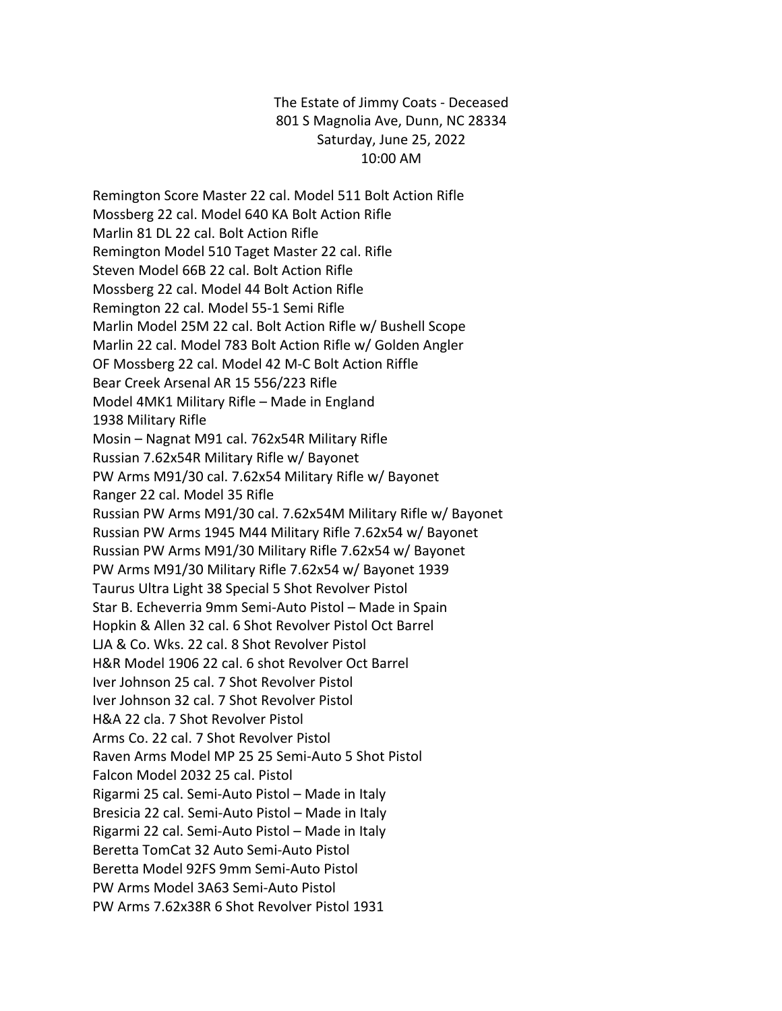The Estate of Jimmy Coats - Deceased 801 S Magnolia Ave, Dunn, NC 28334 Saturday, June 25, 2022 10:00 AM

Remington Score Master 22 cal. Model 511 Bolt Action Rifle Mossberg 22 cal. Model 640 KA Bolt Action Rifle Marlin 81 DL 22 cal. Bolt Action Rifle Remington Model 510 Taget Master 22 cal. Rifle Steven Model 66B 22 cal. Bolt Action Rifle Mossberg 22 cal. Model 44 Bolt Action Rifle Remington 22 cal. Model 55-1 Semi Rifle Marlin Model 25M 22 cal. Bolt Action Rifle w/ Bushell Scope Marlin 22 cal. Model 783 Bolt Action Rifle w/ Golden Angler OF Mossberg 22 cal. Model 42 M-C Bolt Action Riffle Bear Creek Arsenal AR 15 556/223 Rifle Model 4MK1 Military Rifle – Made in England 1938 Military Rifle Mosin – Nagnat M91 cal. 762x54R Military Rifle Russian 7.62x54R Military Rifle w/ Bayonet PW Arms M91/30 cal. 7.62x54 Military Rifle w/ Bayonet Ranger 22 cal. Model 35 Rifle Russian PW Arms M91/30 cal. 7.62x54M Military Rifle w/ Bayonet Russian PW Arms 1945 M44 Military Rifle 7.62x54 w/ Bayonet Russian PW Arms M91/30 Military Rifle 7.62x54 w/ Bayonet PW Arms M91/30 Military Rifle 7.62x54 w/ Bayonet 1939 Taurus Ultra Light 38 Special 5 Shot Revolver Pistol Star B. Echeverria 9mm Semi-Auto Pistol – Made in Spain Hopkin & Allen 32 cal. 6 Shot Revolver Pistol Oct Barrel LJA & Co. Wks. 22 cal. 8 Shot Revolver Pistol H&R Model 1906 22 cal. 6 shot Revolver Oct Barrel Iver Johnson 25 cal. 7 Shot Revolver Pistol Iver Johnson 32 cal. 7 Shot Revolver Pistol H&A 22 cla. 7 Shot Revolver Pistol Arms Co. 22 cal. 7 Shot Revolver Pistol Raven Arms Model MP 25 25 Semi-Auto 5 Shot Pistol Falcon Model 2032 25 cal. Pistol Rigarmi 25 cal. Semi-Auto Pistol – Made in Italy Bresicia 22 cal. Semi-Auto Pistol – Made in Italy Rigarmi 22 cal. Semi-Auto Pistol – Made in Italy Beretta TomCat 32 Auto Semi-Auto Pistol Beretta Model 92FS 9mm Semi-Auto Pistol PW Arms Model 3A63 Semi-Auto Pistol PW Arms 7.62x38R 6 Shot Revolver Pistol 1931